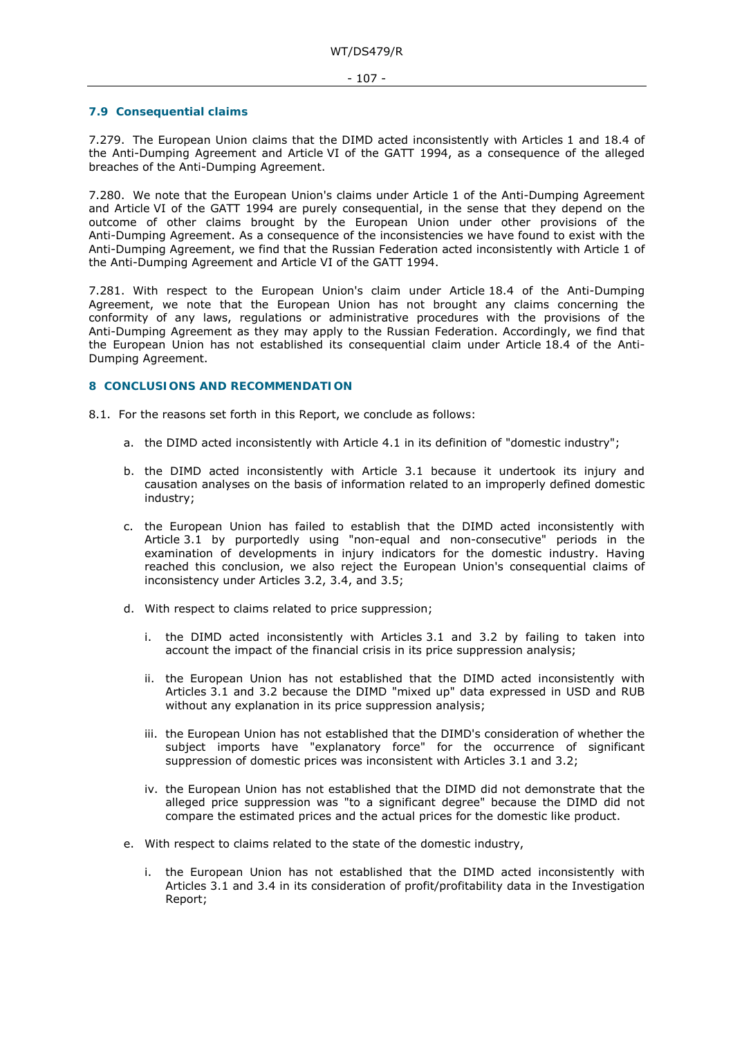## **7.9 Consequential claims**

7.279. The European Union claims that the DIMD acted inconsistently with Articles 1 and 18.4 of the Anti-Dumping Agreement and Article VI of the GATT 1994, as a consequence of the alleged breaches of the Anti-Dumping Agreement.

7.280. We note that the European Union's claims under Article 1 of the Anti-Dumping Agreement and Article VI of the GATT 1994 are purely consequential, in the sense that they depend on the outcome of other claims brought by the European Union under other provisions of the Anti-Dumping Agreement. As a consequence of the inconsistencies we have found to exist with the Anti-Dumping Agreement, we find that the Russian Federation acted inconsistently with Article 1 of the Anti-Dumping Agreement and Article VI of the GATT 1994.

7.281. With respect to the European Union's claim under Article 18.4 of the Anti-Dumping Agreement, we note that the European Union has not brought any claims concerning the conformity of any laws, regulations or administrative procedures with the provisions of the Anti-Dumping Agreement as they may apply to the Russian Federation. Accordingly, we find that the European Union has not established its consequential claim under Article 18.4 of the Anti-Dumping Agreement.

## **8 CONCLUSIONS AND RECOMMENDATION**

8.1. For the reasons set forth in this Report, we conclude as follows:

- a. the DIMD acted inconsistently with Article 4.1 in its definition of "domestic industry";
- b. the DIMD acted inconsistently with Article 3.1 because it undertook its injury and causation analyses on the basis of information related to an improperly defined domestic industry;
- c. the European Union has failed to establish that the DIMD acted inconsistently with Article 3.1 by purportedly using "non-equal and non-consecutive" periods in the examination of developments in injury indicators for the domestic industry. Having reached this conclusion, we also reject the European Union's consequential claims of inconsistency under Articles 3.2, 3.4, and 3.5;
- d. With respect to claims related to price suppression;
	- i. the DIMD acted inconsistently with Articles 3.1 and 3.2 by failing to taken into account the impact of the financial crisis in its price suppression analysis;
	- ii. the European Union has not established that the DIMD acted inconsistently with Articles 3.1 and 3.2 because the DIMD "mixed up" data expressed in USD and RUB without any explanation in its price suppression analysis;
	- iii. the European Union has not established that the DIMD's consideration of whether the subject imports have "explanatory force" for the occurrence of significant suppression of domestic prices was inconsistent with Articles 3.1 and 3.2;
	- iv. the European Union has not established that the DIMD did not demonstrate that the alleged price suppression was "to a significant degree" because the DIMD did not compare the estimated prices and the actual prices for the domestic like product.
- e. With respect to claims related to the state of the domestic industry,
	- i. the European Union has not established that the DIMD acted inconsistently with Articles 3.1 and 3.4 in its consideration of profit/profitability data in the Investigation Report;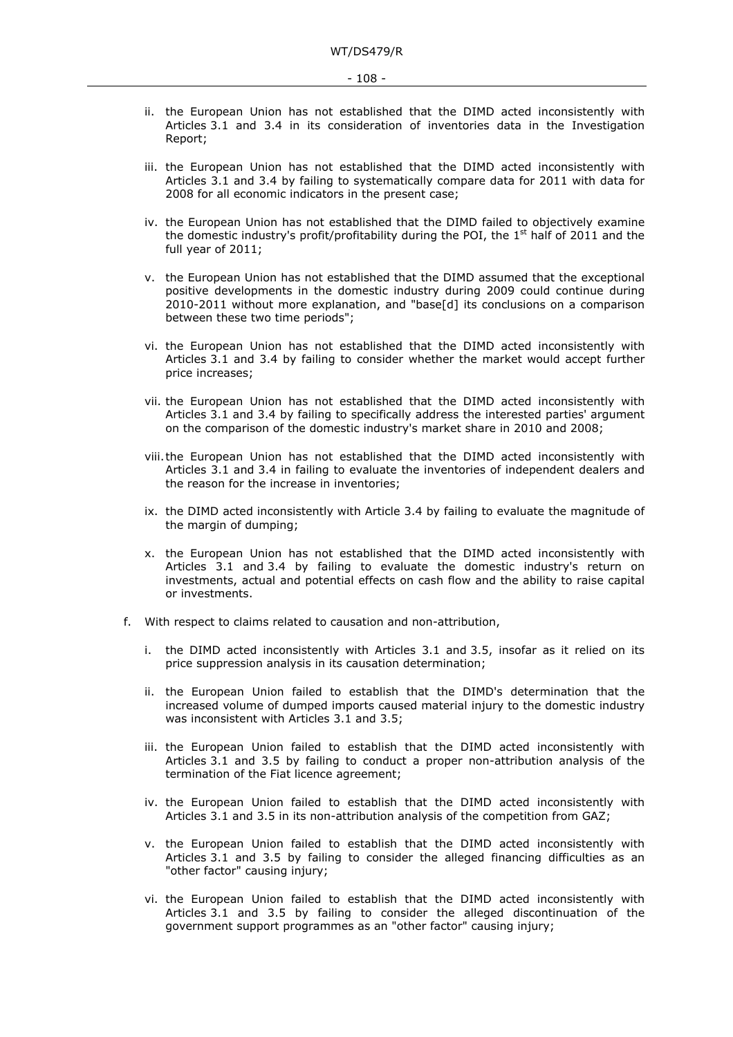- ii. the European Union has not established that the DIMD acted inconsistently with Articles 3.1 and 3.4 in its consideration of inventories data in the Investigation Report;
- iii. the European Union has not established that the DIMD acted inconsistently with Articles 3.1 and 3.4 by failing to systematically compare data for 2011 with data for 2008 for all economic indicators in the present case;
- iv. the European Union has not established that the DIMD failed to objectively examine the domestic industry's profit/profitability during the POI, the 1<sup>st</sup> half of 2011 and the full year of 2011;
- v. the European Union has not established that the DIMD assumed that the exceptional positive developments in the domestic industry during 2009 could continue during 2010-2011 without more explanation, and "base[d] its conclusions on a comparison between these two time periods";
- vi. the European Union has not established that the DIMD acted inconsistently with Articles 3.1 and 3.4 by failing to consider whether the market would accept further price increases;
- vii. the European Union has not established that the DIMD acted inconsistently with Articles 3.1 and 3.4 by failing to specifically address the interested parties' argument on the comparison of the domestic industry's market share in 2010 and 2008;
- viii.the European Union has not established that the DIMD acted inconsistently with Articles 3.1 and 3.4 in failing to evaluate the inventories of independent dealers and the reason for the increase in inventories;
- ix. the DIMD acted inconsistently with Article 3.4 by failing to evaluate the magnitude of the margin of dumping;
- x. the European Union has not established that the DIMD acted inconsistently with Articles 3.1 and 3.4 by failing to evaluate the domestic industry's return on investments, actual and potential effects on cash flow and the ability to raise capital or investments.
- f. With respect to claims related to causation and non-attribution,
	- i. the DIMD acted inconsistently with Articles 3.1 and 3.5, insofar as it relied on its price suppression analysis in its causation determination;
	- ii. the European Union failed to establish that the DIMD's determination that the increased volume of dumped imports caused material injury to the domestic industry was inconsistent with Articles 3.1 and 3.5;
	- iii. the European Union failed to establish that the DIMD acted inconsistently with Articles 3.1 and 3.5 by failing to conduct a proper non-attribution analysis of the termination of the Fiat licence agreement;
	- iv. the European Union failed to establish that the DIMD acted inconsistently with Articles 3.1 and 3.5 in its non-attribution analysis of the competition from GAZ;
	- v. the European Union failed to establish that the DIMD acted inconsistently with Articles 3.1 and 3.5 by failing to consider the alleged financing difficulties as an "other factor" causing injury;
	- vi. the European Union failed to establish that the DIMD acted inconsistently with Articles 3.1 and 3.5 by failing to consider the alleged discontinuation of the government support programmes as an "other factor" causing injury;